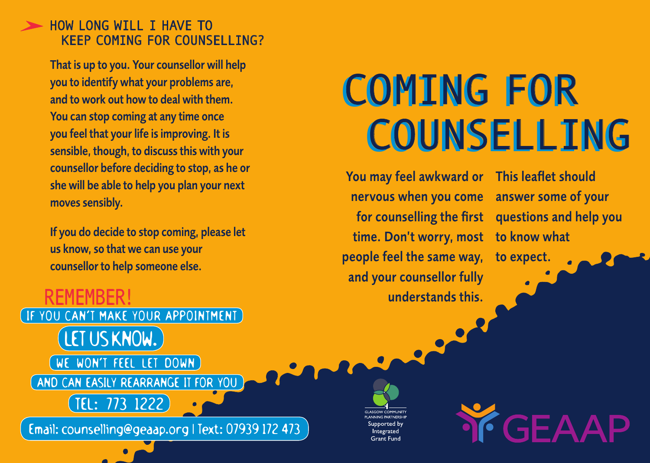## HOW LONG WILL I HAVE TO KEEP COMING FOR COUNSELLING?

That is up to you. Your counsellor will help you to identify what your problems are, and to work out how to deal with them. You can stop coming at any time once you feel that your life is improving. It is sensible, though, to discuss this with your counsellor before deciding to stop, as he or she will be able to help you plan your next moves sensibly.

If you do decide to stop coming, please let us know, so that we can use your counsellor to help someone else.

# COMING FOR COMING FOR COUNSELLING COUNSELLING

You may feel awkward or nervous when you come for counselling the first questions and help you time. Don't worry, most to know what people feel the same way, and your counsellor fully understands this.

This leaflet should answer some of your

to expect.

**TF GEAAP** 

REMEMBER! IF YOU CAN'T MAKE YOUR APPOINTMENT LET US KNOW.

WE WON'T FEEL LET DOWN

TEL: 773 1222

AND CAN EASILY REARRANGE IT FOR YOU

Email: counselling@geaap.org | Text: 07939 172 473